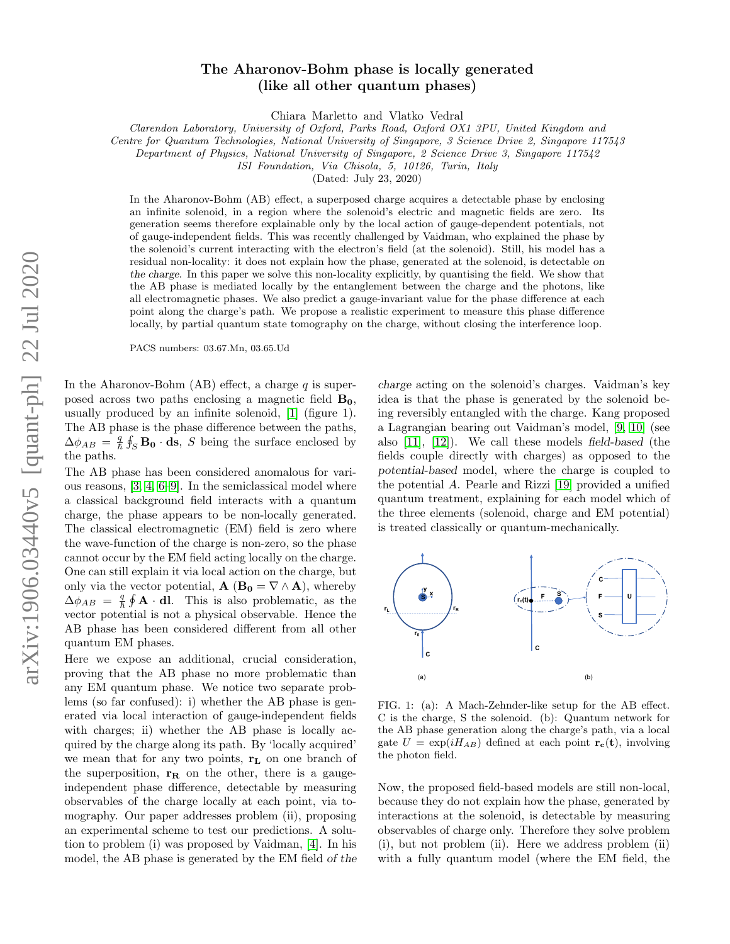## arXiv:1906.03440v5 [quant-ph] 22 Jul 2020 arXiv:1906.03440v5 [quant-ph] 22 Jul 2020

## The Aharonov-Bohm phase is locally generated (like all other quantum phases)

Chiara Marletto and Vlatko Vedral

Clarendon Laboratory, University of Oxford, Parks Road, Oxford OX1 3PU, United Kingdom and

Centre for Quantum Technologies, National University of Singapore, 3 Science Drive 2, Singapore 117543

Department of Physics, National University of Singapore, 2 Science Drive 3, Singapore 117542

ISI Foundation, Via Chisola, 5, 10126, Turin, Italy

(Dated: July 23, 2020)

In the Aharonov-Bohm (AB) effect, a superposed charge acquires a detectable phase by enclosing an infinite solenoid, in a region where the solenoid's electric and magnetic fields are zero. Its generation seems therefore explainable only by the local action of gauge-dependent potentials, not of gauge-independent fields. This was recently challenged by Vaidman, who explained the phase by the solenoid's current interacting with the electron's field (at the solenoid). Still, his model has a residual non-locality: it does not explain how the phase, generated at the solenoid, is detectable on the charge. In this paper we solve this non-locality explicitly, by quantising the field. We show that the AB phase is mediated locally by the entanglement between the charge and the photons, like all electromagnetic phases. We also predict a gauge-invariant value for the phase difference at each point along the charge's path. We propose a realistic experiment to measure this phase difference locally, by partial quantum state tomography on the charge, without closing the interference loop.

PACS numbers: 03.67.Mn, 03.65.Ud

In the Aharonov-Bohm (AB) effect, a charge  $q$  is superposed across two paths enclosing a magnetic field  $B_0$ , usually produced by an infinite solenoid, [\[1\]](#page-4-0) (figure 1). The AB phase is the phase difference between the paths,  $\Delta\phi_{AB} = \frac{q}{\hbar} \oint_S \mathbf{B_0} \cdot \mathbf{ds}$ , S being the surface enclosed by the paths.

The AB phase has been considered anomalous for various reasons, [\[3,](#page-4-1) [4,](#page-4-2) [6](#page-4-3)[–9\]](#page-4-4). In the semiclassical model where a classical background field interacts with a quantum charge, the phase appears to be non-locally generated. The classical electromagnetic (EM) field is zero where the wave-function of the charge is non-zero, so the phase cannot occur by the EM field acting locally on the charge. One can still explain it via local action on the charge, but only via the vector potential,  $\mathbf{A}$  ( $\mathbf{B_0} = \nabla \wedge \mathbf{A}$ ), whereby  $\Delta\phi_{AB} = \frac{q}{\hbar} \oint \mathbf{A} \cdot \mathbf{dl}$ . This is also problematic, as the vector potential is not a physical observable. Hence the AB phase has been considered different from all other quantum EM phases.

Here we expose an additional, crucial consideration, proving that the AB phase no more problematic than any EM quantum phase. We notice two separate problems (so far confused): i) whether the AB phase is generated via local interaction of gauge-independent fields with charges; ii) whether the AB phase is locally acquired by the charge along its path. By 'locally acquired' we mean that for any two points,  $r_L$  on one branch of the superposition,  $r_R$  on the other, there is a gaugeindependent phase difference, detectable by measuring observables of the charge locally at each point, via tomography. Our paper addresses problem (ii), proposing an experimental scheme to test our predictions. A solution to problem (i) was proposed by Vaidman, [\[4\]](#page-4-2). In his model, the AB phase is generated by the EM field of the

charge acting on the solenoid's charges. Vaidman's key idea is that the phase is generated by the solenoid being reversibly entangled with the charge. Kang proposed a Lagrangian bearing out Vaidman's model, [\[9,](#page-4-4) [10\]](#page-4-5) (see also [\[11\]](#page-4-6), [\[12\]](#page-4-7)). We call these models field-based (the fields couple directly with charges) as opposed to the potential-based model, where the charge is coupled to the potential A. Pearle and Rizzi [\[19\]](#page-4-8) provided a unified quantum treatment, explaining for each model which of the three elements (solenoid, charge and EM potential) is treated classically or quantum-mechanically.



FIG. 1: (a): A Mach-Zehnder-like setup for the AB effect. C is the charge, S the solenoid. (b): Quantum network for the AB phase generation along the charge's path, via a local gate  $U = \exp(iH_{AB})$  defined at each point  $\mathbf{r_c}(t)$ , involving the photon field.

Now, the proposed field-based models are still non-local, because they do not explain how the phase, generated by interactions at the solenoid, is detectable by measuring observables of charge only. Therefore they solve problem (i), but not problem (ii). Here we address problem (ii) with a fully quantum model (where the EM field, the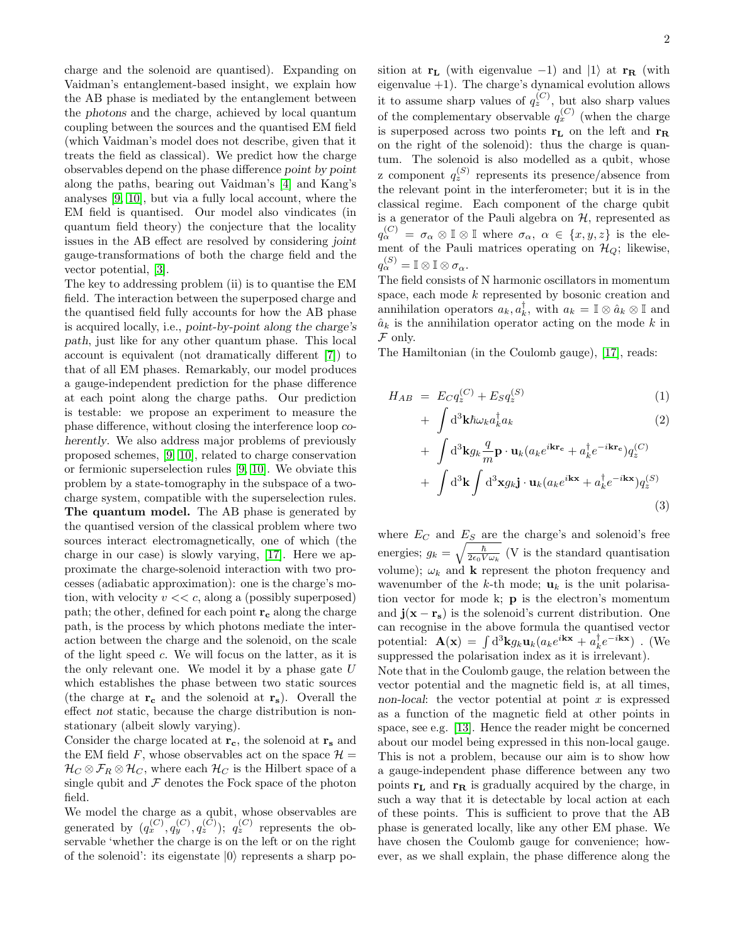charge and the solenoid are quantised). Expanding on Vaidman's entanglement-based insight, we explain how the AB phase is mediated by the entanglement between the photons and the charge, achieved by local quantum coupling between the sources and the quantised EM field (which Vaidman's model does not describe, given that it treats the field as classical). We predict how the charge observables depend on the phase difference point by point along the paths, bearing out Vaidman's [\[4\]](#page-4-2) and Kang's analyses [\[9,](#page-4-4) [10\]](#page-4-5), but via a fully local account, where the EM field is quantised. Our model also vindicates (in quantum field theory) the conjecture that the locality issues in the AB effect are resolved by considering joint gauge-transformations of both the charge field and the vector potential, [\[3\]](#page-4-1).

The key to addressing problem (ii) is to quantise the EM field. The interaction between the superposed charge and the quantised field fully accounts for how the AB phase is acquired locally, i.e., point-by-point along the charge's path, just like for any other quantum phase. This local account is equivalent (not dramatically different [\[7\]](#page-4-9)) to that of all EM phases. Remarkably, our model produces a gauge-independent prediction for the phase difference at each point along the charge paths. Our prediction is testable: we propose an experiment to measure the phase difference, without closing the interference loop coherently. We also address major problems of previously proposed schemes, [\[9,](#page-4-4) [10\]](#page-4-5), related to charge conservation or fermionic superselection rules [\[9,](#page-4-4) [10\]](#page-4-5). We obviate this problem by a state-tomography in the subspace of a twocharge system, compatible with the superselection rules. The quantum model. The AB phase is generated by the quantised version of the classical problem where two sources interact electromagnetically, one of which (the charge in our case) is slowly varying, [\[17\]](#page-4-10). Here we approximate the charge-solenoid interaction with two processes (adiabatic approximation): one is the charge's motion, with velocity  $v \ll c$ , along a (possibly superposed) path; the other, defined for each point  $r_c$  along the charge path, is the process by which photons mediate the interaction between the charge and the solenoid, on the scale of the light speed c. We will focus on the latter, as it is the only relevant one. We model it by a phase gate  $U$ which establishes the phase between two static sources (the charge at  $r_c$  and the solenoid at  $r_s$ ). Overall the effect not static, because the charge distribution is nonstationary (albeit slowly varying).

Consider the charge located at  $r_c$ , the solenoid at  $r_s$  and the EM field F, whose observables act on the space  $\mathcal{H} =$  $\mathcal{H}_C \otimes \mathcal{F}_R \otimes \mathcal{H}_C$ , where each  $\mathcal{H}_C$  is the Hilbert space of a single qubit and  $\mathcal F$  denotes the Fock space of the photon field.

We model the charge as a qubit, whose observables are generated by  $(q_x^{(C)}, q_y^{(C)}, q_z^{(C)})$ ;  $q_z^{(C)}$  represents the observable 'whether the charge is on the left or on the right of the solenoid': its eigenstate  $|0\rangle$  represents a sharp position at  $r_L$  (with eigenvalue -1) and |1) at  $r_R$  (with eigenvalue +1). The charge's dynamical evolution allows it to assume sharp values of  $q_z^{(C)}$ , but also sharp values of the complementary observable  $q_x^{(C)}$  (when the charge is superposed across two points  $r_L$  on the left and  $r_R$ on the right of the solenoid): thus the charge is quantum. The solenoid is also modelled as a qubit, whose z component  $q_z^{(S)}$  represents its presence/absence from the relevant point in the interferometer; but it is in the classical regime. Each component of the charge qubit is a generator of the Pauli algebra on  $H$ , represented as  $q_{\alpha}^{(C)} = \sigma_{\alpha} \otimes \mathbb{I} \otimes \mathbb{I}$  where  $\sigma_{\alpha}, \alpha \in \{x, y, z\}$  is the element of the Pauli matrices operating on  $\mathcal{H}_Q$ ; likewise,  $q_{\alpha}^{(S)} = \mathbb{I} \otimes \mathbb{I} \otimes \sigma_{\alpha}.$ 

The field consists of N harmonic oscillators in momentum space, each mode k represented by bosonic creation and annihilation operators  $a_k, a_k^{\dagger}$ , with  $a_k = \mathbb{I} \otimes \hat{a}_k \otimes \mathbb{I}$  and  $\hat{a}_k$  is the annihilation operator acting on the mode k in  ${\mathcal F}$  only.

The Hamiltonian (in the Coulomb gauge), [\[17\]](#page-4-10), reads:

$$
H_{AB} = E_C q_z^{(C)} + E_S q_z^{(S)} \tag{1}
$$

$$
+\int \mathrm{d}^3 \mathbf{k} \hbar \omega_k a_k^\dagger a_k \tag{2}
$$

+ 
$$
\int d^3 \mathbf{k} g_k \frac{q}{m} \mathbf{p} \cdot \mathbf{u}_k (a_k e^{i \mathbf{k} \mathbf{r}_c} + a_k^{\dagger} e^{-i \mathbf{k} \mathbf{r}_c}) q_z^{(C)}
$$
  
+  $\int d^3 \mathbf{k} \int d^3 \mathbf{x} g_k \mathbf{j} \cdot \mathbf{u}_k (a_k e^{i \mathbf{k} \mathbf{x}} + a_k^{\dagger} e^{-i \mathbf{k} \mathbf{x}}) q_z^{(S)}$   
(3)

where  $E_C$  and  $E_S$  are the charge's and solenoid's free energies;  $g_k = \sqrt{\frac{\hbar}{2\epsilon_0 V \omega_k}}$  (V is the standard quantisation volume);  $\omega_k$  and **k** represent the photon frequency and wavenumber of the k-th mode;  $\mathbf{u}_k$  is the unit polarisation vector for mode k; p is the electron's momentum and  $\mathbf{j}(\mathbf{x} - \mathbf{r_s})$  is the solenoid's current distribution. One can recognise in the above formula the quantised vector potential:  $\mathbf{A}(\mathbf{x}) = \int d^3 \mathbf{k} g_k \mathbf{u}_k (a_k e^{i\mathbf{k}\mathbf{x}} + a_k^{\dagger} e^{-i\mathbf{k}\mathbf{x}})$ . (We suppressed the polarisation index as it is irrelevant).

Note that in the Coulomb gauge, the relation between the vector potential and the magnetic field is, at all times, non-local: the vector potential at point  $x$  is expressed as a function of the magnetic field at other points in space, see e.g. [\[13\]](#page-4-11). Hence the reader might be concerned about our model being expressed in this non-local gauge. This is not a problem, because our aim is to show how a gauge-independent phase difference between any two points  $\mathbf{r}_\mathbf{L}$  and  $\mathbf{r}_\mathbf{R}$  is gradually acquired by the charge, in such a way that it is detectable by local action at each of these points. This is sufficient to prove that the AB phase is generated locally, like any other EM phase. We have chosen the Coulomb gauge for convenience; however, as we shall explain, the phase difference along the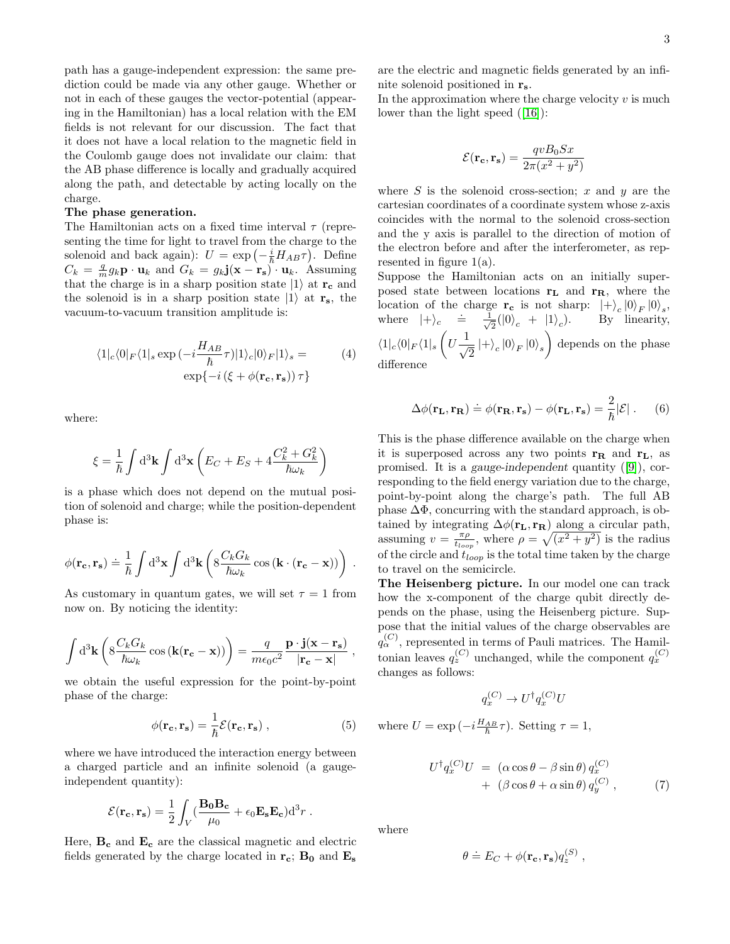path has a gauge-independent expression: the same prediction could be made via any other gauge. Whether or not in each of these gauges the vector-potential (appearing in the Hamiltonian) has a local relation with the EM fields is not relevant for our discussion. The fact that it does not have a local relation to the magnetic field in the Coulomb gauge does not invalidate our claim: that the AB phase difference is locally and gradually acquired along the path, and detectable by acting locally on the charge.

## The phase generation.

The Hamiltonian acts on a fixed time interval  $\tau$  (representing the time for light to travel from the charge to the solenoid and back again):  $U = \exp\left(-\frac{i}{\hbar}H_{AB}\tau\right)$ . Define  $C_k = \frac{q}{m} g_k \mathbf{p} \cdot \mathbf{u}_k$  and  $G_k = g_k \mathbf{j} (\mathbf{x} - \mathbf{r_s}) \cdot \mathbf{u}_k$ . Assuming that the charge is in a sharp position state  $|1\rangle$  at  $r_c$  and the solenoid is in a sharp position state  $|1\rangle$  at  $r_s$ , the vacuum-to-vacuum transition amplitude is:

$$
\langle 1|_c \langle 0|_F \langle 1|_s \exp\left(-i\frac{H_{AB}}{\hbar} \tau\right) |1\rangle_c |0\rangle_F |1\rangle_s =
$$
  
 
$$
\exp\{-i\left(\xi + \phi(\mathbf{r_c}, \mathbf{r_s})\right) \tau\}
$$
 (4)

where:

$$
\xi = \frac{1}{\hbar} \int \mathrm{d}^3 \mathbf{k} \int \mathrm{d}^3 \mathbf{x} \left( E_C + E_S + 4 \frac{C_k^2 + G_k^2}{\hbar \omega_k} \right)
$$

is a phase which does not depend on the mutual position of solenoid and charge; while the position-dependent phase is:

$$
\phi(\mathbf{r_c}, \mathbf{r_s}) \doteq \frac{1}{\hbar} \int d^3 \mathbf{x} \int d^3 \mathbf{k} \left( 8 \frac{C_k G_k}{\hbar \omega_k} \cos \left( \mathbf{k} \cdot (\mathbf{r_c} - \mathbf{x}) \right) \right) .
$$

As customary in quantum gates, we will set  $\tau = 1$  from now on. By noticing the identity:

$$
\int d^3 \mathbf{k} \left( 8 \frac{C_k G_k}{\hbar \omega_k} \cos \left( \mathbf{k} (\mathbf{r_c} - \mathbf{x}) \right) \right) = \frac{q}{m \epsilon_0 c^2} \frac{\mathbf{p} \cdot \mathbf{j} (\mathbf{x} - \mathbf{r_s})}{|\mathbf{r_c} - \mathbf{x}|} ,
$$

we obtain the useful expression for the point-by-point phase of the charge:

$$
\phi(\mathbf{r_c}, \mathbf{r_s}) = \frac{1}{\hbar} \mathcal{E}(\mathbf{r_c}, \mathbf{r_s}), \qquad (5)
$$

where we have introduced the interaction energy between a charged particle and an infinite solenoid (a gaugeindependent quantity):

$$
\mathcal{E}(\mathbf{r_c}, \mathbf{r_s}) = \frac{1}{2} \int_V (\frac{\mathbf{B_0 B_c}}{\mu_0} + \epsilon_0 \mathbf{E_s E_c}) \mathrm{d}^3 r.
$$

Here,  $B_c$  and  $E_c$  are the classical magnetic and electric fields generated by the charge located in  $r_c$ ;  $B_0$  and  $E_s$ 

are the electric and magnetic fields generated by an infinite solenoid positioned in  $\mathbf{r}_s$ .

In the approximation where the charge velocity  $v$  is much lower than the light speed ([\[16\]](#page-4-12)):

$$
\mathcal{E}(\mathbf{r_c}, \mathbf{r_s}) = \frac{qvB_0 Sx}{2\pi(x^2 + y^2)}
$$

where  $S$  is the solenoid cross-section;  $x$  and  $y$  are the cartesian coordinates of a coordinate system whose z-axis coincides with the normal to the solenoid cross-section and the y axis is parallel to the direction of motion of the electron before and after the interferometer, as represented in figure 1(a).

Suppose the Hamiltonian acts on an initially superposed state between locations  $r<sub>L</sub>$  and  $r<sub>R</sub>$ , where the location of the charge  $\mathbf{r_c}$  is not sharp:  $|+\rangle_c |0\rangle_F |0\rangle_s$ , where  $|+\rangle_c \stackrel{\cdot}{=} \frac{1}{\sqrt{2}}$  $\frac{1}{2}(|0\rangle_c + |1\rangle_c$ ). By linearity,  $\langle 1|_c\langle 0|_F\langle 1|_s\left(U\frac{1}{\sqrt{2}}\right)$  $\frac{1}{2} \ket{+}_c \ket{0}_F \ket{0}_s$  depends on the phase difference

$$
\Delta\phi(\mathbf{r_L}, \mathbf{r_R}) \doteq \phi(\mathbf{r_R}, \mathbf{r_s}) - \phi(\mathbf{r_L}, \mathbf{r_s}) = \frac{2}{\hbar} |\mathcal{E}| \ . \tag{6}
$$

This is the phase difference available on the charge when it is superposed across any two points  $\mathbf{r}_{\mathbf{R}}$  and  $\mathbf{r}_{\mathbf{L}}$ , as promised. It is a gauge-independent quantity ([\[9\]](#page-4-4)), corresponding to the field energy variation due to the charge, point-by-point along the charge's path. The full AB phase  $\Delta\Phi$ , concurring with the standard approach, is obtained by integrating  $\Delta \phi(\mathbf{r_L}, \mathbf{r_R})$  along a circular path, assuming  $v = \frac{\pi \rho}{t_{loop}}$ , where  $\rho = \sqrt{(x^2 + y^2)}$  is the radius of the circle and  $t_{loop}$  is the total time taken by the charge to travel on the semicircle.

The Heisenberg picture. In our model one can track how the x-component of the charge qubit directly depends on the phase, using the Heisenberg picture. Suppose that the initial values of the charge observables are  $q_{\alpha}^{(C)}$ , represented in terms of Pauli matrices. The Hamiltonian leaves  $q_z^{(C)}$  unchanged, while the component  $q_x^{(C)}$ changes as follows:

$$
q_x^{(C)} \to U^\dagger q_x^{(C)} U
$$

where  $U = \exp(-i\frac{H_{AB}}{\hbar}\tau)$ . Setting  $\tau = 1$ ,

$$
U^{\dagger} q_x^{(C)} U = (\alpha \cos \theta - \beta \sin \theta) q_x^{(C)} + (\beta \cos \theta + \alpha \sin \theta) q_y^{(C)}, \qquad (7)
$$

,

where

$$
\theta \doteq E_C + \phi(\mathbf{r_c}, \mathbf{r_s}) q_z^{(S)}
$$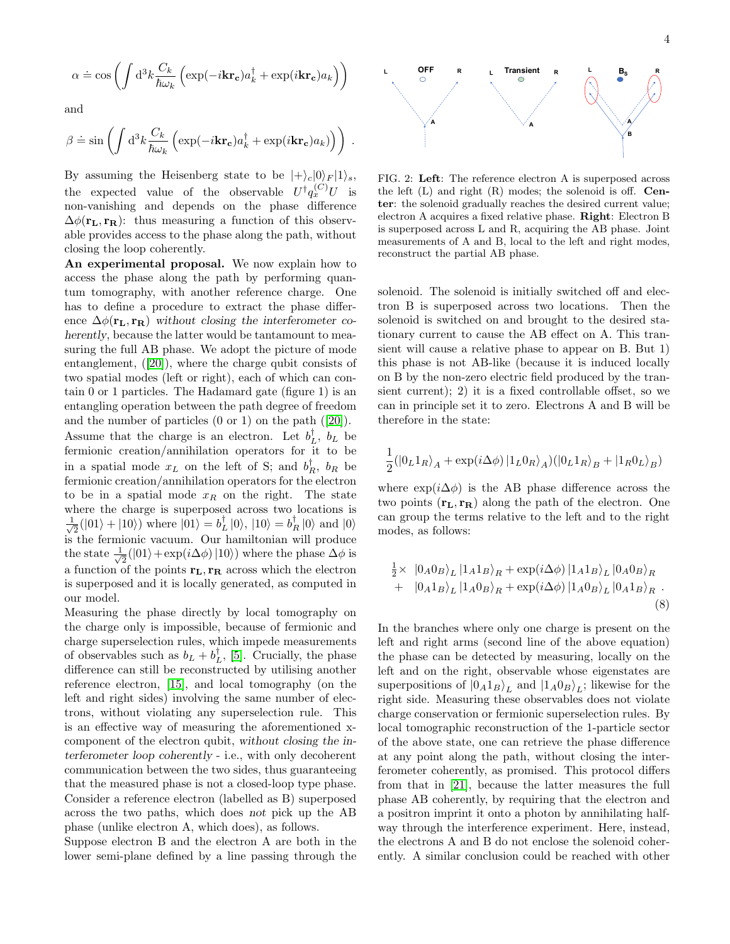$$
\alpha \doteq \cos\left(\int d^3k \frac{C_k}{\hbar \omega_k} \left(\exp(-i\mathbf{kr_c}) a_k^{\dagger} + \exp(i\mathbf{kr_c}) a_k\right)\right)
$$

and

$$
\beta \doteq \sin\left(\int d^3k \frac{C_k}{\hbar \omega_k} \left(\exp(-i\mathbf{kr_c}) a_k^{\dagger} + \exp(i\mathbf{kr_c}) a_k)\right)\right) .
$$

By assuming the Heisenberg state to be  $|+\rangle_c |0\rangle_F |1\rangle_s$ , the expected value of the observable  $U^{\dagger}q_{x}^{(C)}U$  is non-vanishing and depends on the phase difference  $\Delta\phi(\mathbf{r}_L, \mathbf{r}_R)$ : thus measuring a function of this observable provides access to the phase along the path, without closing the loop coherently.

An experimental proposal. We now explain how to access the phase along the path by performing quantum tomography, with another reference charge. One has to define a procedure to extract the phase difference  $\Delta \phi(\mathbf{r_L}, \mathbf{r_R})$  without closing the interferometer coherently, because the latter would be tantamount to measuring the full AB phase. We adopt the picture of mode entanglement, ([\[20\]](#page-4-13)), where the charge qubit consists of two spatial modes (left or right), each of which can contain 0 or 1 particles. The Hadamard gate (figure 1) is an entangling operation between the path degree of freedom and the number of particles (0 or 1) on the path ([\[20\]](#page-4-13)).

Assume that the charge is an electron. Let  $b_L^{\dagger}$ ,  $b_L$  be fermionic creation/annihilation operators for it to be in a spatial mode  $x_L$  on the left of S; and  $b_R^{\dagger}$ ,  $b_R$  be fermionic creation/annihilation operators for the electron to be in a spatial mode  $x_R$  on the right. The state where the charge is superposed across two locations is  $\frac{1}{\sqrt{2}}$  $\frac{1}{2}(|01\rangle + |10\rangle)$  where  $|01\rangle = b_L^{\dagger} |0\rangle$ ,  $|10\rangle = b_R^{\dagger} |0\rangle$  and  $|0\rangle$ is the fermionic vacuum. Our hamiltonian will produce the state  $\frac{1}{\sqrt{2}}$  $\frac{1}{2}(|01\rangle + \exp(i\Delta\phi)|10\rangle)$  where the phase  $\Delta\phi$  is a function of the points  $r_L, r_R$  across which the electron is superposed and it is locally generated, as computed in our model.

Measuring the phase directly by local tomography on the charge only is impossible, because of fermionic and charge superselection rules, which impede measurements of observables such as  $b_L + b_L^{\dagger}$ , [\[5\]](#page-4-14). Crucially, the phase difference can still be reconstructed by utilising another reference electron, [\[15\]](#page-4-15), and local tomography (on the left and right sides) involving the same number of electrons, without violating any superselection rule. This is an effective way of measuring the aforementioned xcomponent of the electron qubit, without closing the interferometer loop coherently - i.e., with only decoherent communication between the two sides, thus guaranteeing that the measured phase is not a closed-loop type phase. Consider a reference electron (labelled as B) superposed across the two paths, which does not pick up the AB phase (unlike electron A, which does), as follows.

Suppose electron B and the electron A are both in the lower semi-plane defined by a line passing through the



FIG. 2: Left: The reference electron A is superposed across the left  $(L)$  and right  $(R)$  modes; the solenoid is off. **Cen**ter: the solenoid gradually reaches the desired current value; electron A acquires a fixed relative phase. Right: Electron B is superposed across L and R, acquiring the AB phase. Joint measurements of A and B, local to the left and right modes, reconstruct the partial AB phase.

solenoid. The solenoid is initially switched off and electron B is superposed across two locations. Then the solenoid is switched on and brought to the desired stationary current to cause the AB effect on A. This transient will cause a relative phase to appear on B. But 1) this phase is not AB-like (because it is induced locally on B by the non-zero electric field produced by the transient current); 2) it is a fixed controllable offset, so we can in principle set it to zero. Electrons A and B will be therefore in the state:

$$
\frac{1}{2}(|0_{L}1_{R}\rangle_{A}+\exp(i\Delta\phi)\left|1_{L}0_{R}\right\rangle_{A})(|0_{L}1_{R}\rangle_{B}+|1_{R}0_{L}\rangle_{B})
$$

where  $\exp(i\Delta\phi)$  is the AB phase difference across the two points  $(\mathbf{r}_L, \mathbf{r}_R)$  along the path of the electron. One can group the terms relative to the left and to the right modes, as follows:

$$
\frac{1}{2} \times |0_A 0_B\rangle_L |1_A 1_B\rangle_R + \exp(i\Delta\phi) |1_A 1_B\rangle_L |0_A 0_B\rangle_R \n+ |0_A 1_B\rangle_L |1_A 0_B\rangle_R + \exp(i\Delta\phi) |1_A 0_B\rangle_L |0_A 1_B\rangle_R.
$$
\n(8)

In the branches where only one charge is present on the left and right arms (second line of the above equation) the phase can be detected by measuring, locally on the left and on the right, observable whose eigenstates are superpositions of  $|0_A1_B\rangle_L$  and  $|1_A0_B\rangle_L$ ; likewise for the right side. Measuring these observables does not violate charge conservation or fermionic superselection rules. By local tomographic reconstruction of the 1-particle sector of the above state, one can retrieve the phase difference at any point along the path, without closing the interferometer coherently, as promised. This protocol differs from that in [\[21\]](#page-4-16), because the latter measures the full phase AB coherently, by requiring that the electron and a positron imprint it onto a photon by annihilating halfway through the interference experiment. Here, instead, the electrons A and B do not enclose the solenoid coherently. A similar conclusion could be reached with other